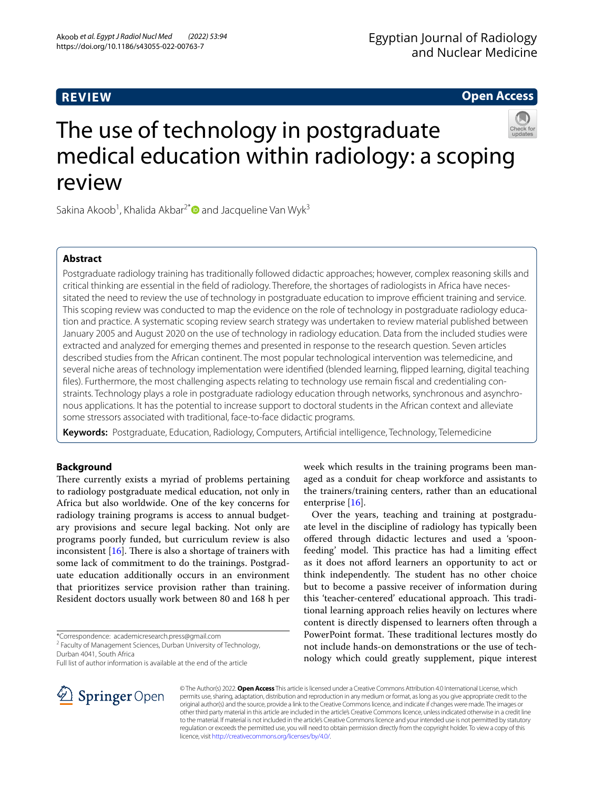# **REVIEW**

# **Open Access**



Sakina Akoob<sup>1</sup>, Khalida Akbar<sup>2[\\*](http://orcid.org/0000-0002-3530-6697)</sup> and Jacqueline Van Wyk<sup>3</sup>

# **Abstract**

Postgraduate radiology training has traditionally followed didactic approaches; however, complex reasoning skills and critical thinking are essential in the feld of radiology. Therefore, the shortages of radiologists in Africa have necessitated the need to review the use of technology in postgraduate education to improve efcient training and service. This scoping review was conducted to map the evidence on the role of technology in postgraduate radiology education and practice. A systematic scoping review search strategy was undertaken to review material published between January 2005 and August 2020 on the use of technology in radiology education. Data from the included studies were extracted and analyzed for emerging themes and presented in response to the research question. Seven articles described studies from the African continent. The most popular technological intervention was telemedicine, and several niche areas of technology implementation were identifed (blended learning, fipped learning, digital teaching fles). Furthermore, the most challenging aspects relating to technology use remain fscal and credentialing constraints. Technology plays a role in postgraduate radiology education through networks, synchronous and asynchronous applications. It has the potential to increase support to doctoral students in the African context and alleviate some stressors associated with traditional, face-to-face didactic programs.

**Keywords:** Postgraduate, Education, Radiology, Computers, Artifcial intelligence, Technology, Telemedicine

# **Background**

There currently exists a myriad of problems pertaining to radiology postgraduate medical education, not only in Africa but also worldwide. One of the key concerns for radiology training programs is access to annual budgetary provisions and secure legal backing. Not only are programs poorly funded, but curriculum review is also inconsistent  $[16]$  $[16]$ . There is also a shortage of trainers with some lack of commitment to do the trainings. Postgraduate education additionally occurs in an environment that prioritizes service provision rather than training. Resident doctors usually work between 80 and 168 h per

\*Correspondence: academicresearch.press@gmail.com

<sup>2</sup> Faculty of Management Sciences, Durban University of Technology, Durban 4041, South Africa

Full list of author information is available at the end of the article

week which results in the training programs been managed as a conduit for cheap workforce and assistants to the trainers/training centers, rather than an educational enterprise [[16](#page-6-0)].

Over the years, teaching and training at postgraduate level in the discipline of radiology has typically been ofered through didactic lectures and used a 'spoonfeeding' model. This practice has had a limiting effect as it does not aford learners an opportunity to act or think independently. The student has no other choice but to become a passive receiver of information during this 'teacher-centered' educational approach. This traditional learning approach relies heavily on lectures where content is directly dispensed to learners often through a PowerPoint format. These traditional lectures mostly do not include hands-on demonstrations or the use of technology which could greatly supplement, pique interest



© The Author(s) 2022. **Open Access** This article is licensed under a Creative Commons Attribution 4.0 International License, which permits use, sharing, adaptation, distribution and reproduction in any medium or format, as long as you give appropriate credit to the original author(s) and the source, provide a link to the Creative Commons licence, and indicate if changes were made. The images or other third party material in this article are included in the article's Creative Commons licence, unless indicated otherwise in a credit line to the material. If material is not included in the article's Creative Commons licence and your intended use is not permitted by statutory regulation or exceeds the permitted use, you will need to obtain permission directly from the copyright holder. To view a copy of this licence, visit [http://creativecommons.org/licenses/by/4.0/.](http://creativecommons.org/licenses/by/4.0/)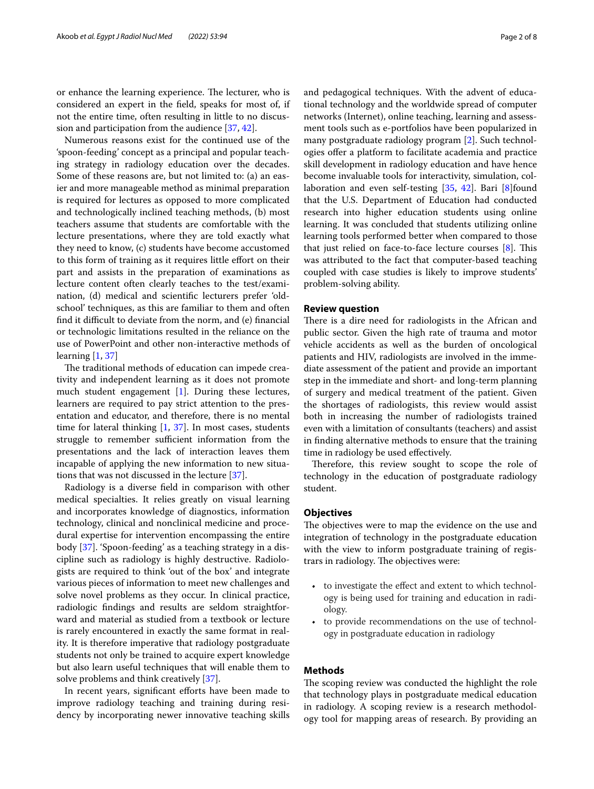or enhance the learning experience. The lecturer, who is considered an expert in the feld, speaks for most of, if not the entire time, often resulting in little to no discussion and participation from the audience [\[37](#page-6-1), [42](#page-6-2)].

Numerous reasons exist for the continued use of the 'spoon-feeding' concept as a principal and popular teaching strategy in radiology education over the decades. Some of these reasons are, but not limited to: (a) an easier and more manageable method as minimal preparation is required for lectures as opposed to more complicated and technologically inclined teaching methods, (b) most teachers assume that students are comfortable with the lecture presentations, where they are told exactly what they need to know, (c) students have become accustomed to this form of training as it requires little efort on their part and assists in the preparation of examinations as lecture content often clearly teaches to the test/examination, (d) medical and scientifc lecturers prefer 'oldschool' techniques, as this are familiar to them and often fnd it difcult to deviate from the norm, and (e) fnancial or technologic limitations resulted in the reliance on the use of PowerPoint and other non-interactive methods of learning  $[1, 37]$  $[1, 37]$  $[1, 37]$  $[1, 37]$ 

The traditional methods of education can impede creativity and independent learning as it does not promote much student engagement [\[1](#page-6-3)]. During these lectures, learners are required to pay strict attention to the presentation and educator, and therefore, there is no mental time for lateral thinking  $[1, 37]$  $[1, 37]$  $[1, 37]$  $[1, 37]$ . In most cases, students struggle to remember sufficient information from the presentations and the lack of interaction leaves them incapable of applying the new information to new situations that was not discussed in the lecture [[37\]](#page-6-1).

Radiology is a diverse feld in comparison with other medical specialties. It relies greatly on visual learning and incorporates knowledge of diagnostics, information technology, clinical and nonclinical medicine and procedural expertise for intervention encompassing the entire body [[37\]](#page-6-1). 'Spoon-feeding' as a teaching strategy in a discipline such as radiology is highly destructive. Radiologists are required to think 'out of the box' and integrate various pieces of information to meet new challenges and solve novel problems as they occur. In clinical practice, radiologic fndings and results are seldom straightforward and material as studied from a textbook or lecture is rarely encountered in exactly the same format in reality. It is therefore imperative that radiology postgraduate students not only be trained to acquire expert knowledge but also learn useful techniques that will enable them to solve problems and think creatively [\[37\]](#page-6-1).

In recent years, significant efforts have been made to improve radiology teaching and training during residency by incorporating newer innovative teaching skills and pedagogical techniques. With the advent of educational technology and the worldwide spread of computer networks (Internet), online teaching, learning and assessment tools such as e-portfolios have been popularized in many postgraduate radiology program [\[2](#page-6-4)]. Such technologies offer a platform to facilitate academia and practice skill development in radiology education and have hence become invaluable tools for interactivity, simulation, collaboration and even self-testing [\[35](#page-6-5), [42](#page-6-2)]. Bari [\[8](#page-6-6)]found that the U.S. Department of Education had conducted research into higher education students using online learning. It was concluded that students utilizing online learning tools performed better when compared to those that just relied on face-to-face lecture courses  $[8]$  $[8]$ . This was attributed to the fact that computer-based teaching coupled with case studies is likely to improve students'

### **Review question**

problem-solving ability.

There is a dire need for radiologists in the African and public sector. Given the high rate of trauma and motor vehicle accidents as well as the burden of oncological patients and HIV, radiologists are involved in the immediate assessment of the patient and provide an important step in the immediate and short- and long-term planning of surgery and medical treatment of the patient. Given the shortages of radiologists, this review would assist both in increasing the number of radiologists trained even with a limitation of consultants (teachers) and assist in fnding alternative methods to ensure that the training time in radiology be used efectively.

Therefore, this review sought to scope the role of technology in the education of postgraduate radiology student.

### **Objectives**

The objectives were to map the evidence on the use and integration of technology in the postgraduate education with the view to inform postgraduate training of registrars in radiology. The objectives were:

- to investigate the effect and extent to which technology is being used for training and education in radiology.
- to provide recommendations on the use of technology in postgraduate education in radiology

## **Methods**

The scoping review was conducted the highlight the role that technology plays in postgraduate medical education in radiology. A scoping review is a research methodology tool for mapping areas of research. By providing an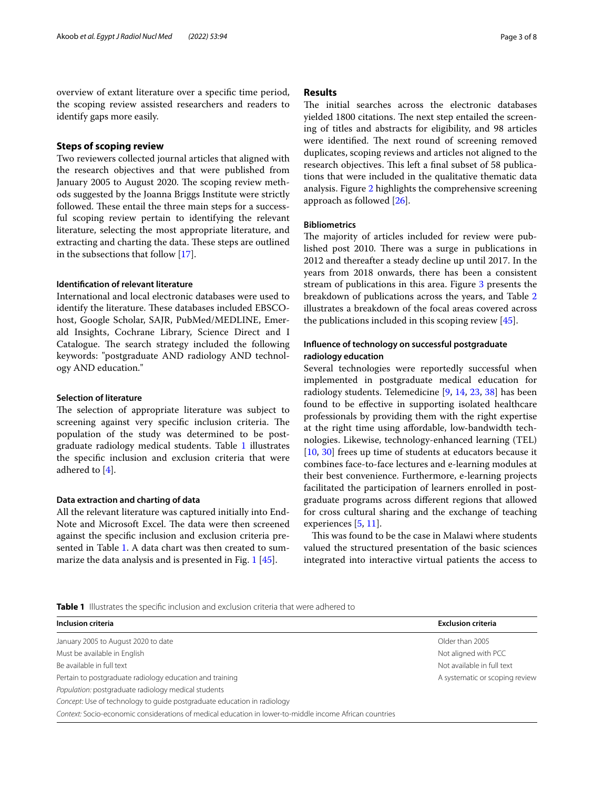overview of extant literature over a specifc time period, the scoping review assisted researchers and readers to identify gaps more easily.

## **Steps of scoping review**

Two reviewers collected journal articles that aligned with the research objectives and that were published from January 2005 to August 2020. The scoping review methods suggested by the Joanna Briggs Institute were strictly followed. These entail the three main steps for a successful scoping review pertain to identifying the relevant literature, selecting the most appropriate literature, and extracting and charting the data. These steps are outlined in the subsections that follow [[17](#page-6-7)].

## **Identifcation of relevant literature**

International and local electronic databases were used to identify the literature. These databases included EBSCOhost, Google Scholar, SAJR, PubMed/MEDLINE, Emerald Insights, Cochrane Library, Science Direct and I Catalogue. The search strategy included the following keywords: "postgraduate AND radiology AND technology AND education."

## **Selection of literature**

The selection of appropriate literature was subject to screening against very specific inclusion criteria. The population of the study was determined to be postgraduate radiology medical students. Table [1](#page-2-0) illustrates the specifc inclusion and exclusion criteria that were adhered to  $[4]$  $[4]$ .

## **Data extraction and charting of data**

All the relevant literature was captured initially into End-Note and Microsoft Excel. The data were then screened against the specifc inclusion and exclusion criteria presented in Table [1.](#page-2-0) A data chart was then created to summarize the data analysis and is presented in Fig. [1](#page-3-0) [[45\]](#page-6-9).

### **Results**

The initial searches across the electronic databases vielded 1800 citations. The next step entailed the screening of titles and abstracts for eligibility, and 98 articles were identified. The next round of screening removed duplicates, scoping reviews and articles not aligned to the research objectives. This left a final subset of 58 publications that were included in the qualitative thematic data analysis. Figure [2](#page-4-0) highlights the comprehensive screening approach as followed [\[26](#page-6-10)].

### **Bibliometrics**

The majority of articles included for review were published post 2010. There was a surge in publications in 2012 and thereafter a steady decline up until 2017. In the years from 2018 onwards, there has been a consistent stream of publications in this area. Figure [3](#page-4-1) presents the breakdown of publications across the years, and Table [2](#page-5-0) illustrates a breakdown of the focal areas covered across the publications included in this scoping review [\[45](#page-6-9)].

# **Infuence of technology on successful postgraduate radiology education**

Several technologies were reportedly successful when implemented in postgraduate medical education for radiology students. Telemedicine [[9](#page-6-11), [14](#page-6-12), [23](#page-6-13), [38](#page-6-14)] has been found to be efective in supporting isolated healthcare professionals by providing them with the right expertise at the right time using afordable, low‐bandwidth technologies. Likewise, technology-enhanced learning (TEL) [[10,](#page-6-15) [30\]](#page-6-16) frees up time of students at educators because it combines face-to-face lectures and e-learning modules at their best convenience. Furthermore, e-learning projects facilitated the participation of learners enrolled in postgraduate programs across diferent regions that allowed for cross cultural sharing and the exchange of teaching experiences [\[5](#page-6-17), [11\]](#page-6-18).

This was found to be the case in Malawi where students valued the structured presentation of the basic sciences integrated into interactive virtual patients the access to

<span id="page-2-0"></span>**Table 1** Illustrates the specifc inclusion and exclusion criteria that were adhered to

| Inclusion criteria                                                                                      | <b>Exclusion criteria</b>      |
|---------------------------------------------------------------------------------------------------------|--------------------------------|
| January 2005 to August 2020 to date                                                                     | Older than 2005                |
| Must be available in English                                                                            | Not aligned with PCC           |
| Be available in full text                                                                               | Not available in full text     |
| Pertain to postgraduate radiology education and training                                                | A systematic or scoping review |
| Population: postgraduate radiology medical students                                                     |                                |
| Concept: Use of technology to quide postgraduate education in radiology                                 |                                |
| Context: Socio-economic considerations of medical education in lower-to-middle income African countries |                                |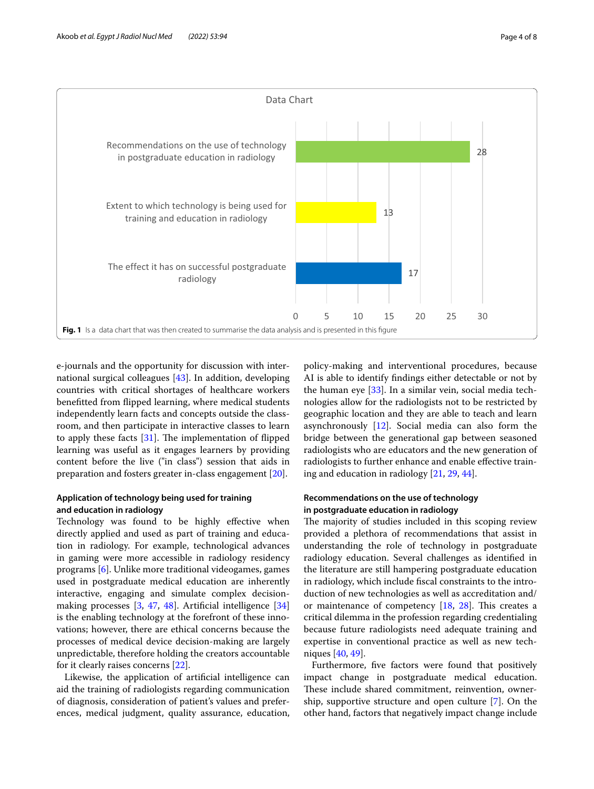

<span id="page-3-0"></span>e-journals and the opportunity for discussion with international surgical colleagues [\[43](#page-6-19)]. In addition, developing countries with critical shortages of healthcare workers beneftted from fipped learning, where medical students independently learn facts and concepts outside the classroom, and then participate in interactive classes to learn to apply these facts  $[31]$  $[31]$ . The implementation of flipped learning was useful as it engages learners by providing content before the live ("in class") session that aids in preparation and fosters greater in-class engagement [\[20\]](#page-6-21).

# **Application of technology being used for training and education in radiology**

Technology was found to be highly efective when directly applied and used as part of training and education in radiology. For example, technological advances in gaming were more accessible in radiology residency programs [\[6](#page-6-22)]. Unlike more traditional videogames, games used in postgraduate medical education are inherently interactive, engaging and simulate complex decisionmaking processes [\[3](#page-6-23), [47](#page-7-0), [48](#page-7-1)]. Artifcial intelligence [[34](#page-6-24)] is the enabling technology at the forefront of these innovations; however, there are ethical concerns because the processes of medical device decision-making are largely unpredictable, therefore holding the creators accountable for it clearly raises concerns [[22\]](#page-6-25).

Likewise, the application of artifcial intelligence can aid the training of radiologists regarding communication of diagnosis, consideration of patient's values and preferences, medical judgment, quality assurance, education, policy-making and interventional procedures, because AI is able to identify fndings either detectable or not by the human eye [\[33](#page-6-26)]. In a similar vein, social media technologies allow for the radiologists not to be restricted by geographic location and they are able to teach and learn asynchronously [\[12](#page-6-27)]. Social media can also form the bridge between the generational gap between seasoned radiologists who are educators and the new generation of radiologists to further enhance and enable efective training and education in radiology [\[21](#page-6-28), [29,](#page-6-29) [44](#page-6-30)].

# **Recommendations on the use of technology in postgraduate education in radiology**

The majority of studies included in this scoping review provided a plethora of recommendations that assist in understanding the role of technology in postgraduate radiology education. Several challenges as identifed in the literature are still hampering postgraduate education in radiology, which include fscal constraints to the introduction of new technologies as well as accreditation and/ or maintenance of competency  $[18, 28]$  $[18, 28]$  $[18, 28]$  $[18, 28]$ . This creates a critical dilemma in the profession regarding credentialing because future radiologists need adequate training and expertise in conventional practice as well as new techniques [\[40](#page-6-33), [49](#page-7-2)].

Furthermore, fve factors were found that positively impact change in postgraduate medical education. These include shared commitment, reinvention, ownership, supportive structure and open culture [[7\]](#page-6-34). On the other hand, factors that negatively impact change include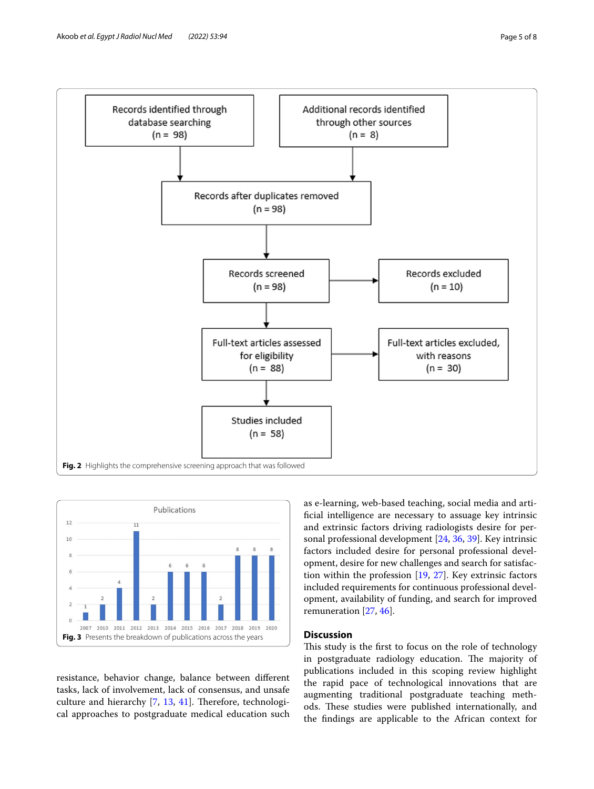

<span id="page-4-0"></span>

<span id="page-4-1"></span>resistance, behavior change, balance between diferent tasks, lack of involvement, lack of consensus, and unsafe culture and hierarchy  $[7, 13, 41]$  $[7, 13, 41]$  $[7, 13, 41]$  $[7, 13, 41]$  $[7, 13, 41]$  $[7, 13, 41]$ . Therefore, technological approaches to postgraduate medical education such as e-learning, web-based teaching, social media and artifcial intelligence are necessary to assuage key intrinsic and extrinsic factors driving radiologists desire for personal professional development [\[24](#page-6-37), [36,](#page-6-38) [39](#page-6-39)]. Key intrinsic factors included desire for personal professional development, desire for new challenges and search for satisfaction within the profession [\[19](#page-6-40), [27\]](#page-6-41). Key extrinsic factors included requirements for continuous professional development, availability of funding, and search for improved remuneration [\[27](#page-6-41), [46\]](#page-7-3).

# **Discussion**

This study is the first to focus on the role of technology in postgraduate radiology education. The majority of publications included in this scoping review highlight the rapid pace of technological innovations that are augmenting traditional postgraduate teaching methods. These studies were published internationally, and the fndings are applicable to the African context for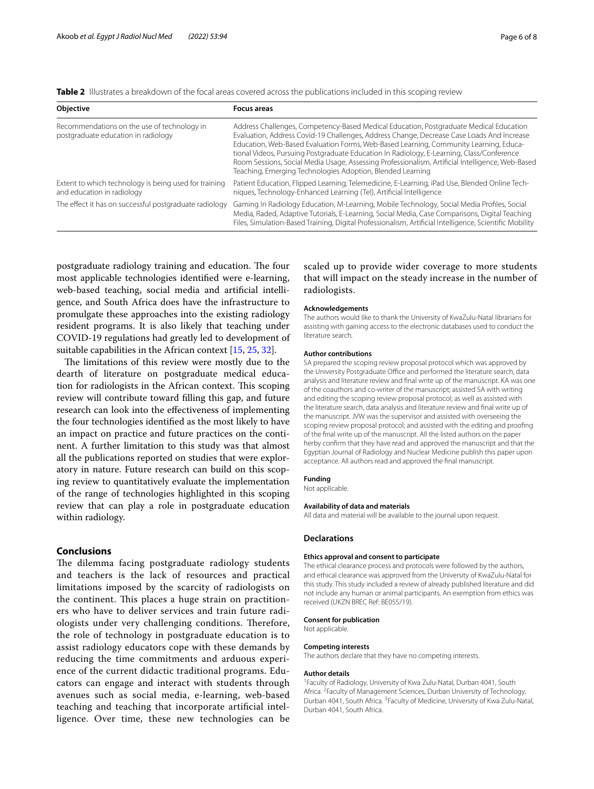<span id="page-5-0"></span>

|--|

| Objective                                                                           | <b>Focus areas</b>                                                                                                                                                                                                                                                                                                                                                                                                                                                                                                                          |
|-------------------------------------------------------------------------------------|---------------------------------------------------------------------------------------------------------------------------------------------------------------------------------------------------------------------------------------------------------------------------------------------------------------------------------------------------------------------------------------------------------------------------------------------------------------------------------------------------------------------------------------------|
| Recommendations on the use of technology in<br>postgraduate education in radiology  | Address Challenges, Competency-Based Medical Education, Postgraduate Medical Education<br>Evaluation, Address Covid-19 Challenges, Address Change, Decrease Case Loads And Increase<br>Education, Web-Based Evaluation Forms, Web-Based Learning, Community Learning, Educa-<br>tional Videos, Pursuing Postgraduate Education In Radiology, E-Learning, Class/Conference<br>Room Sessions, Social Media Usage, Assessing Professionalism, Artificial Intelligence, Web-Based<br>Teaching, Emerging Technologies Adoption, Blended Learning |
| Extent to which technology is being used for training<br>and education in radiology | Patient Education, Flipped Learning, Telemedicine, E-Learning, iPad Use, Blended Online Tech-<br>niques, Technology-Enhanced Learning (Tel), Artificial Intelligence                                                                                                                                                                                                                                                                                                                                                                        |
| The effect it has on successful postgraduate radiology                              | Gaming In Radiology Education, M-Learning, Mobile Technology, Social Media Profiles, Social<br>Media, Raded, Adaptive Tutorials, E-Learning, Social Media, Case Comparisons, Digital Teaching<br>Files, Simulation-Based Training, Digital Professionalism, Artificial Intelligence, Scientific Mobility                                                                                                                                                                                                                                    |

postgraduate radiology training and education. The four most applicable technologies identifed were e-learning, web-based teaching, social media and artifcial intelligence, and South Africa does have the infrastructure to promulgate these approaches into the existing radiology resident programs. It is also likely that teaching under COVID-19 regulations had greatly led to development of suitable capabilities in the African context [[15](#page-6-42), [25,](#page-6-43) [32](#page-6-44)].

The limitations of this review were mostly due to the dearth of literature on postgraduate medical education for radiologists in the African context. This scoping review will contribute toward flling this gap, and future research can look into the efectiveness of implementing the four technologies identifed as the most likely to have an impact on practice and future practices on the continent. A further limitation to this study was that almost all the publications reported on studies that were exploratory in nature. Future research can build on this scoping review to quantitatively evaluate the implementation of the range of technologies highlighted in this scoping review that can play a role in postgraduate education within radiology.

# **Conclusions**

The dilemma facing postgraduate radiology students and teachers is the lack of resources and practical limitations imposed by the scarcity of radiologists on the continent. This places a huge strain on practitioners who have to deliver services and train future radiologists under very challenging conditions. Therefore, the role of technology in postgraduate education is to assist radiology educators cope with these demands by reducing the time commitments and arduous experience of the current didactic traditional programs. Educators can engage and interact with students through avenues such as social media, e-learning, web-based teaching and teaching that incorporate artifcial intelligence. Over time, these new technologies can be

scaled up to provide wider coverage to more students that will impact on the steady increase in the number of radiologists.

### **Acknowledgements**

The authors would like to thank the University of KwaZulu-Natal librarians for assisting with gaining access to the electronic databases used to conduct the literature search.

#### **Author contributions**

SA prepared the scoping review proposal protocol which was approved by the University Postgraduate Office and performed the literature search, data analysis and literature review and fnal write up of the manuscript. KA was one of the coauthors and co-writer of the manuscript; assisted SA with writing and editing the scoping review proposal protocol; as well as assisted with the literature search, data analysis and literature review and fnal write up of the manuscript. JVW was the supervisor and assisted with overseeing the scoping review proposal protocol; and assisted with the editing and proofng of the fnal write up of the manuscript. All the listed authors on the paper herby confrm that they have read and approved the manuscript and that the Egyptian Journal of Radiology and Nuclear Medicine publish this paper upon acceptance. All authors read and approved the fnal manuscript.

#### **Funding**

Not applicable.

#### **Availability of data and materials**

All data and material will be available to the journal upon request.

#### **Declarations**

### **Ethics approval and consent to participate**

The ethical clearance process and protocols were followed by the authors, and ethical clearance was approved from the University of KwaZulu-Natal for this study. This study included a review of already published literature and did not include any human or animal participants. An exemption from ethics was received (UKZN BREC Ref: BE055/19).

#### **Consent for publication**

Not applicable.

### **Competing interests**

The authors declare that they have no competing interests.

### **Author details**

<sup>1</sup> Faculty of Radiology, University of Kwa Zulu-Natal, Durban 4041, South Africa. <sup>2</sup> Faculty of Management Sciences, Durban University of Technology, Durban 4041, South Africa. <sup>3</sup> Faculty of Medicine, University of Kwa Zulu-Natal, Durban 4041, South Africa.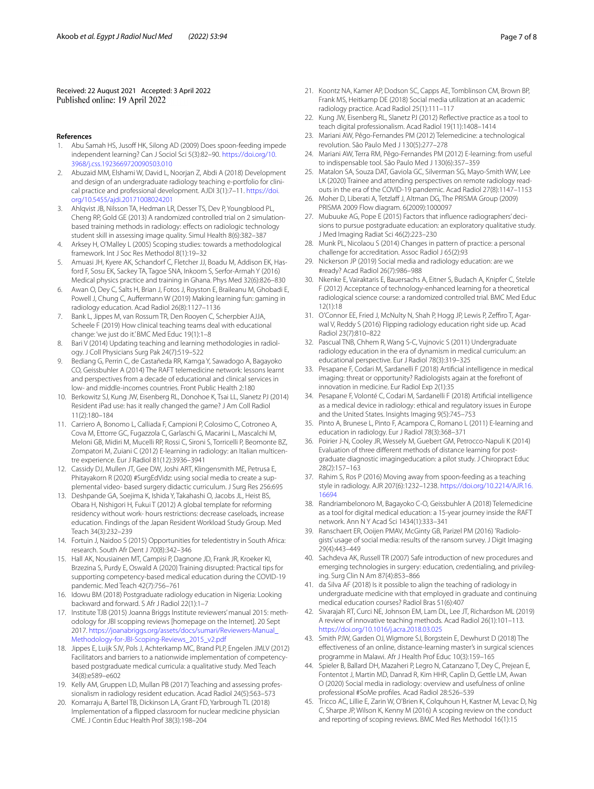Received: 22 August 2021 Accepted: 3 April 2022

### **References**

- <span id="page-6-3"></span>Abu Samah HS, Jusoff HK, Silong AD (2009) Does spoon-feeding impede independent learning? Can J Sociol Sci 5(3):82–90. [https://doi.org/10.](https://doi.org/10.3968/j.css.1923669720090503.010) [3968/j.css.1923669720090503.010](https://doi.org/10.3968/j.css.1923669720090503.010)
- <span id="page-6-4"></span>2. Abuzaid MM, Elshami W, David L, Noorjan Z, Abdi A (2018) Development and design of an undergraduate radiology teaching e-portfolio for clinical practice and professional development. AJDI 3(1):7–11. [https://doi.](https://doi.org/10.5455/ajdi.20171008024201) [org/10.5455/ajdi.20171008024201](https://doi.org/10.5455/ajdi.20171008024201)
- <span id="page-6-23"></span>3. Ahlqvist JB, Nilsson TA, Hedman LR, Desser TS, Dev P, Youngblood PL, Cheng RP, Gold GE (2013) A randomized controlled trial on 2 simulationbased training methods in radiology: efects on radiologic technology student skill in assessing image quality. Simul Health 8(6):382–387
- <span id="page-6-8"></span>4. Arksey H, O'Malley L (2005) Scoping studies: towards a methodological framework. Int J Soc Res Methodol 8(1):19–32
- <span id="page-6-17"></span>5. Amuasi JH, Kyere AK, Schandorf C, Fletcher JJ, Boadu M, Addison EK, Hasford F, Sosu EK, Sackey TA, Tagoe SNA, Inkoom S, Serfor-Armah Y (2016) Medical physics practice and training in Ghana. Phys Med 32(6):826–830
- <span id="page-6-22"></span>6. Awan O, Dey C, Salts H, Brian J, Fotos J, Royston E, Braileanu M, Ghobadi E, Powell J, Chung C, Aufermann W (2019) Making learning fun: gaming in radiology education. Acad Radiol 26(8):1127–1136
- <span id="page-6-34"></span>7. Bank L, Jippes M, van Rossum TR, Den Rooyen C, Scherpbier AJJA, Scheele F (2019) How clinical teaching teams deal with educational change: 'we just do it.' BMC Med Educ 19(1):1–8
- <span id="page-6-6"></span>8. Bari V (2014) Updating teaching and learning methodologies in radiology. J Coll Physicians Surg Pak 24(7):519–522
- <span id="page-6-11"></span>9. Bediang G, Perrin C, de Castañeda RR, Kamga Y, Sawadogo A, Bagayoko CO, Geissbuhler A (2014) The RAFT telemedicine network: lessons learnt and perspectives from a decade of educational and clinical services in low- and middle-incomes countries. Front Public Health 2:180
- <span id="page-6-15"></span>10. Berkowitz SJ, Kung JW, Eisenberg RL, Donohoe K, Tsai LL, Slanetz PJ (2014) Resident iPad use: has it really changed the game? J Am Coll Radiol 11(2):180–184
- <span id="page-6-18"></span>11. Carriero A, Bonomo L, Calliada F, Campioni P, Colosimo C, Cotroneo A, Cova M, Ettorre GC, Fugazzola C, Garlaschi G, Macarini L, Mascalchi M, Meloni GB, Midiri M, Mucelli RP, Rossi C, Sironi S, Torricelli P, Beomonte BZ, Zompatori M, Zuiani C (2012) E-learning in radiology: an Italian multicentre experience. Eur J Radiol 81(12):3936–3941
- <span id="page-6-27"></span>12. Cassidy DJ, Mullen JT, Gee DW, Joshi ART, Klingensmith ME, Petrusa E, Phitayakorn R (2020) #SurgEdVidz: using social media to create a supplemental video- based surgery didactic curriculum. J Surg Res 256:695
- <span id="page-6-35"></span>13. Deshpande GA, Soejima K, Ishida Y, Takahashi O, Jacobs JL, Heist BS, Obara H, Nishigori H, Fukui T (2012) A global template for reforming residency without work- hours restrictions: decrease caseloads, increase education. Findings of the Japan Resident Workload Study Group. Med Teach 34(3):232–239
- <span id="page-6-12"></span>14. Fortuin J, Naidoo S (2015) Opportunities for teledentistry in South Africa: research. South Afr Dent J 70(8):342–346
- <span id="page-6-42"></span>15. Hall AK, Nousiainen MT, Campisi P, Dagnone JD, Frank JR, Kroeker KI, Brzezina S, Purdy E, Oswald A (2020) Training disrupted: Practical tips for supporting competency-based medical education during the COVID-19 pandemic. Med Teach 42(7):756–761
- <span id="page-6-0"></span>16. Idowu BM (2018) Postgraduate radiology education in Nigeria: Looking backward and forward. S Afr J Radiol 22(1):1–7
- <span id="page-6-7"></span>17. Institute TJB (2015) Joanna Briggs Institute reviewers' manual 2015: methodology for JBI scopping reviews [homepage on the Internet]. 20 Sept 2017. [https://joanabriggs.org/assets/docs/sumari/Reviewers-Manual\\_](https://joanabriggs.org/assets/docs/sumari/Reviewers-Manual_Methodology-for-JBI-Scoping-Reviews_2015_v2.pdf) [Methodology-for-JBI-Scoping-Reviews\\_2015\\_v2.pdf](https://joanabriggs.org/assets/docs/sumari/Reviewers-Manual_Methodology-for-JBI-Scoping-Reviews_2015_v2.pdf)
- <span id="page-6-31"></span>18. Jippes E, Luijk SJV, Pols J, Achterkamp MC, Brand PLP, Engelen JMLV (2012) Facilitators and barriers to a nationwide implementation of competencybased postgraduate medical curricula: a qualitative study. Med Teach 34(8):e589–e602
- <span id="page-6-40"></span>19. Kelly AM, Gruppen LD, Mullan PB (2017) Teaching and assessing professionalism in radiology resident education. Acad Radiol 24(5):563–573
- <span id="page-6-21"></span>20. Komarraju A, Bartel TB, Dickinson LA, Grant FD, Yarbrough TL (2018) Implementation of a fipped classroom for nuclear medicine physician CME. J Contin Educ Health Prof 38(3):198–204
- <span id="page-6-28"></span>21. Koontz NA, Kamer AP, Dodson SC, Capps AE, Tomblinson CM, Brown BP, Frank MS, Heitkamp DE (2018) Social media utilization at an academic radiology practice. Acad Radiol 25(1):111–117
- <span id="page-6-25"></span>22. Kung JW, Eisenberg RL, Slanetz PJ (2012) Refective practice as a tool to teach digital professionalism. Acad Radiol 19(11):1408–1414
- <span id="page-6-13"></span>23. Mariani AW, Pêgo-Fernandes PM (2012) Telemedicine: a technological revolution. São Paulo Med J 130(5):277–278
- <span id="page-6-37"></span>24. Mariani AW, Terra RM, Pêgo-Fernandes PM (2012) E-learning: from useful to indispensable tool. São Paulo Med J 130(6):357–359
- <span id="page-6-43"></span>25. Matalon SA, Souza DAT, Gaviola GC, Silverman SG, Mayo-Smith WW, Lee LK (2020) Trainee and attending perspectives on remote radiology readouts in the era of the COVID-19 pandemic. Acad Radiol 27(8):1147–1153
- <span id="page-6-10"></span>26. Moher D, Liberati A, Tetzlaff J, Altman DG, The PRISMA Group (2009) PRISMA 2009 Flow diagram. 6(2009):1000097
- <span id="page-6-41"></span>27. Mubuuke AG, Pope E (2015) Factors that infuence radiographers' decisions to pursue postgraduate education: an exploratory qualitative study. J Med Imaging Radiat Sci 46(2):223–230
- <span id="page-6-32"></span>28. Munk PL, Nicolaou S (2014) Changes in pattern of practice: a personal challenge for accreditation. Assoc Radiol J 65(2):93
- <span id="page-6-29"></span>29. Nickerson JP (2019) Social media and radiology education: are we #ready? Acad Radiol 26(7):986–988
- <span id="page-6-16"></span>30. Nkenke E, Vairaktaris E, Bauersachs A, Eitner S, Budach A, Knipfer C, Stelzle F (2012) Acceptance of technology-enhanced learning for a theoretical radiological science course: a randomized controlled trial. BMC Med Educ 12(1):18
- <span id="page-6-20"></span>31. O'Connor EE, Fried J, McNulty N, Shah P, Hogg JP, Lewis P, Zeffiro T, Agarwal V, Reddy S (2016) Flipping radiology education right side up. Acad Radiol 23(7):810–822
- <span id="page-6-44"></span>32. Pascual TNB, Chhem R, Wang S-C, Vujnovic S (2011) Undergraduate radiology education in the era of dynamism in medical curriculum: an educational perspective. Eur J Radiol 78(3):319–325
- <span id="page-6-26"></span>33. Pesapane F, Codari M, Sardanelli F (2018) Artifcial intelligence in medical imaging: threat or opportunity? Radiologists again at the forefront of innovation in medicine. Eur Radiol Exp 2(1):35
- <span id="page-6-24"></span>34. Pesapane F, Volonté C, Codari M, Sardanelli F (2018) Artifcial intelligence as a medical device in radiology: ethical and regulatory issues in Europe and the United States. Insights Imaging 9(5):745–753
- <span id="page-6-5"></span>35. Pinto A, Brunese L, Pinto F, Acampora C, Romano L (2011) E-learning and education in radiology. Eur J Radiol 78(3):368–371
- <span id="page-6-38"></span>36. Poirier J-N, Cooley JR, Wessely M, Guebert GM, Petrocco-Napuli K (2014) Evaluation of three diferent methods of distance learning for postgraduate diagnostic imagingeducation: a pilot study. J Chiropract Educ 28(2):157–163
- <span id="page-6-1"></span>37. Rahim S, Ros P (2016) Moving away from spoon-feeding as a teaching style in radiology. AJR 207(6):1232–1238. [https://doi.org/10.2214/AJR.16.](https://doi.org/10.2214/AJR.16.16694) [16694](https://doi.org/10.2214/AJR.16.16694)
- <span id="page-6-14"></span>38. Randriambelonoro M, Bagayoko C-O, Geissbuhler A (2018) Telemedicine as a tool for digital medical education: a 15-year journey inside the RAFT network. Ann N Y Acad Sci 1434(1):333–341
- <span id="page-6-39"></span>39. Ranschaert ER, Ooijen PMAV, McGinty GB, Parizel PM (2016) 'Radiologists' usage of social media: results of the ransom survey. J Digit Imaging 29(4):443–449
- <span id="page-6-33"></span>40. Sachdeva AK, Russell TR (2007) Safe introduction of new procedures and emerging technologies in surgery: education, credentialing, and privileging. Surg Clin N Am 87(4):853–866
- <span id="page-6-36"></span>41. da Silva AF (2018) Is it possible to align the teaching of radiology in undergraduate medicine with that employed in graduate and continuing medical education courses? Radiol Bras 51(6):407
- <span id="page-6-2"></span>42. Sivarajah RT, Curci NE, Johnson EM, Lam DL, Lee JT, Richardson ML (2019) A review of innovative teaching methods. Acad Radiol 26(1):101–113. <https://doi.org/10.1016/j.acra.2018.03.025>
- <span id="page-6-19"></span>43. Smith PJW, Garden OJ, Wigmore SJ, Borgstein E, Dewhurst D (2018) The efectiveness of an online, distance-learning master's in surgical sciences programme in Malawi. Afr J Health Prof Educ 10(3):159–165
- <span id="page-6-30"></span>44. Spieler B, Ballard DH, Mazaheri P, Legro N, Catanzano T, Dey C, Prejean E, Fontentot J, Martin MD, Danrad R, Kim HHR, Caplin D, Gettle LM, Awan O (2020) Social media in radiology: overview and usefulness of online professional #SoMe profles. Acad Radiol 28:526–539
- <span id="page-6-9"></span>45. Tricco AC, Lillie E, Zarin W, O'Brien K, Colquhoun H, Kastner M, Levac D, Ng C, Sharpe JP, Wilson K, Kenny M (2016) A scoping review on the conduct and reporting of scoping reviews. BMC Med Res Methodol 16(1):15